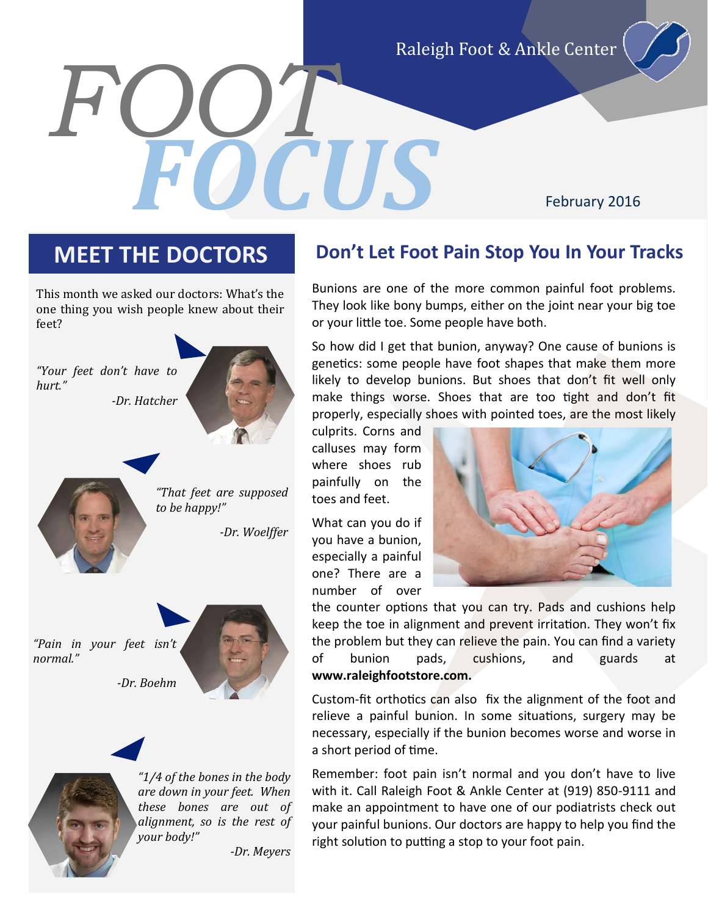Raleigh Foot & Ankle Center

February 2016

*FOOT*

*FOCUS*

This month we asked our doctors: What's the one thing you wish people knew about their feet?



*"Pain in your feet isn't normal."*

*-Dr. Boehm*



*"1/4 of the bones in the body are down in your feet. When these bones are out of alignment, so is the rest of your body!"*

*-Dr. Meyers*

## **MEET THE DOCTORS Don't Let Foot Pain Stop You In Your Tracks**

Bunions are one of the more common painful foot problems. They look like bony bumps, either on the joint near your big toe or your little toe. Some people have both.

So how did I get that bunion, anyway? One cause of bunions is genetics: some people have foot shapes that make them more likely to develop bunions. But shoes that don't fit well only make things worse. Shoes that are too tight and don't fit properly, especially shoes with pointed toes, are the most likely

culprits. Corns and calluses may form where shoes rub painfully on the toes and feet.

What can you do if you have a bunion, especially a painful one? There are a number of over



the counter options that you can try. Pads and cushions help keep the toe in alignment and prevent irritation. They won't fix the problem but they can relieve the pain. You can find a variety of bunion pads, cushions, and guards at **www.raleighfootstore.com.**

Custom-fit orthotics can also fix the alignment of the foot and relieve a painful bunion. In some situations, surgery may be necessary, especially if the bunion becomes worse and worse in a short period of time.

Remember: foot pain isn't normal and you don't have to live with it. Call Raleigh Foot & Ankle Center at (919) 850-9111 and make an appointment to have one of our podiatrists check out your painful bunions. Our doctors are happy to help you find the right solution to putting a stop to your foot pain.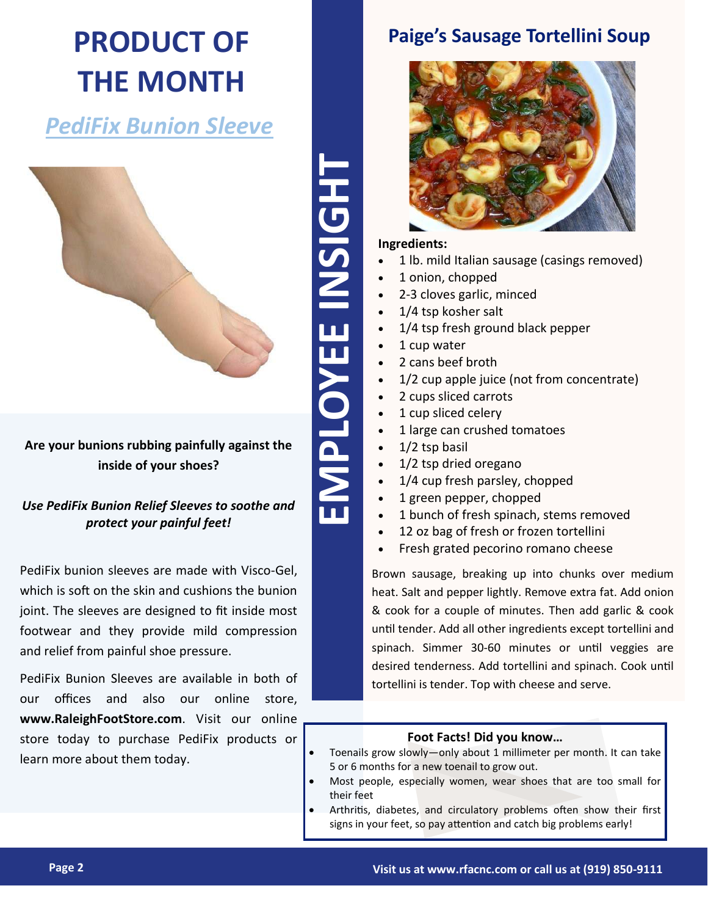# **PRODUCT OF THE MONTH**

## *PediFix Bunion Sleeve*



**Are your bunions rubbing painfully against the inside of your shoes?**

*Use PediFix Bunion Relief Sleeves to soothe and protect your painful feet!*

PediFix bunion sleeves are made with Visco-Gel, which is soft on the skin and cushions the bunion joint. The sleeves are designed to fit inside most footwear and they provide mild compression and relief from painful shoe pressure.

PediFix Bunion Sleeves are available in both of our offices and also our online store, **www.RaleighFootStore.com**. Visit our online store today to purchase PediFix products or learn more about them today.

## **Paige's Sausage Tortellini Soup**



### **Ingredients:**

- 1 lb. mild Italian sausage (casings removed)
- 1 onion, chopped
- 2-3 cloves garlic, minced
- 1/4 tsp kosher salt
- 1/4 tsp fresh ground black pepper
- 1 cup water
- 2 cans beef broth
- 1/2 cup apple juice (not from concentrate)
- 2 cups sliced carrots
- 1 cup sliced celery
- 1 large can crushed tomatoes
- 1/2 tsp basil
- 1/2 tsp dried oregano
- 1/4 cup fresh parsley, chopped
- 1 green pepper, chopped
- 1 bunch of fresh spinach, stems removed
- 12 oz bag of fresh or frozen tortellini
- Fresh grated pecorino romano cheese

Brown sausage, breaking up into chunks over medium heat. Salt and pepper lightly. Remove extra fat. Add onion & cook for a couple of minutes. Then add garlic & cook until tender. Add all other ingredients except tortellini and spinach. Simmer 30-60 minutes or until veggies are desired tenderness. Add tortellini and spinach. Cook until tortellini is tender. Top with cheese and serve.

#### **Foot Facts! Did you know…**

- Toenails grow slowly—only about 1 millimeter per month. It can take 5 or 6 months for a new toenail to grow out.
- Most people, especially women, wear shoes that are too small for their feet
- Arthritis, diabetes, and circulatory problems often show their first signs in your feet, so pay attention and catch big problems early!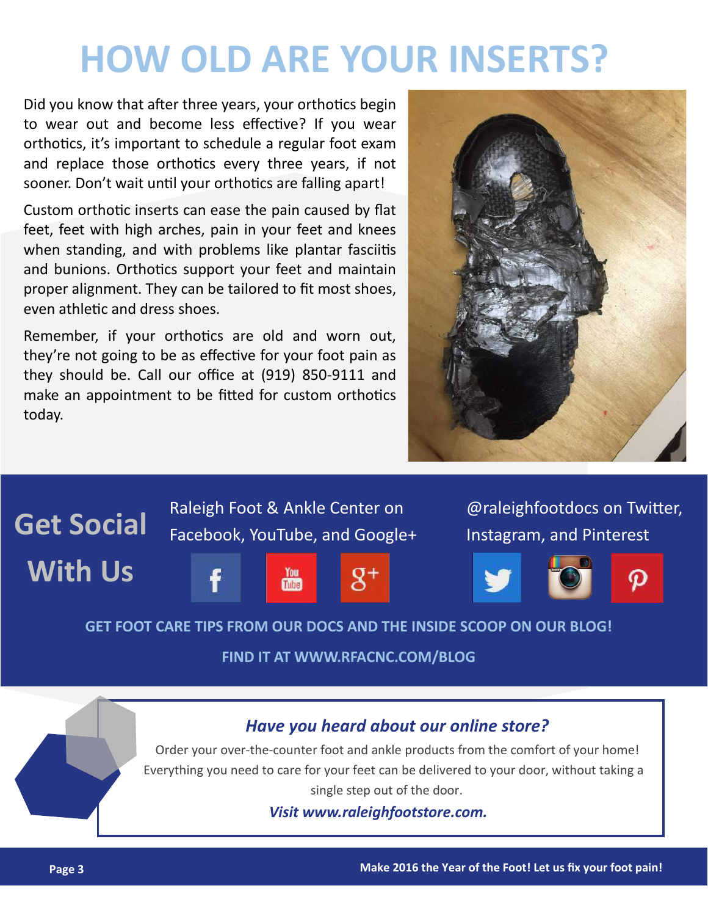# **HOW OLD ARE YOUR INSERTS?**

Did you know that after three years, your orthotics begin to wear out and become less effective? If you wear orthotics, it's important to schedule a regular foot exam and replace those orthotics every three years, if not sooner. Don't wait until your orthotics are falling apart!

Custom orthotic inserts can ease the pain caused by flat feet, feet with high arches, pain in your feet and knees when standing, and with problems like plantar fasciitis and bunions. Orthotics support your feet and maintain proper alignment. They can be tailored to fit most shoes, even athletic and dress shoes.

Remember, if your orthotics are old and worn out, they're not going to be as effective for your foot pain as they should be. Call our office at (919) 850-9111 and make an appointment to be fitted for custom orthotics today.





**FIND IT AT WWW.RFACNC.COM/BLOG**

### *Have you heard about our online store?*

Order your over-the-counter foot and ankle products from the comfort of your home! Everything you need to care for your feet can be delivered to your door, without taking a single step out of the door.

*Visit www.raleighfootstore.com.*